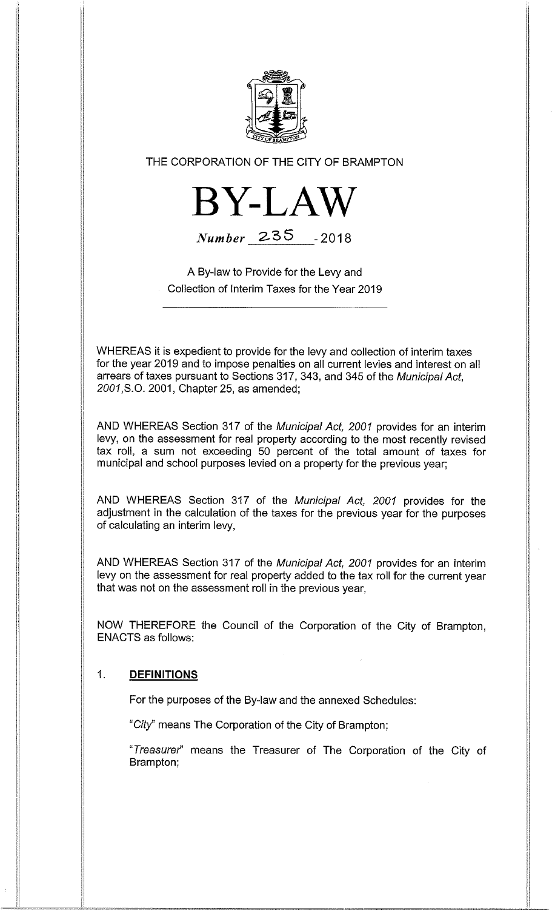

## THE CORPORATION OF THE CITY OF BRAMPTON



Number 235 - 2018

A By-law to Provide for the Levy and Collection of Interim Taxes for the Year 2019

WHEREAS it is expedient to provide for the levy and collection of interim taxes for the year 2019 and to impose penalties on all current levies and interest on all arrears of taxes pursuant to Sections 317, 343, and 345 of the Municipal Act, 2001,S.O. 2001, Chapter 25, as amended;

AND WHEREAS Section 317 of the Municipal Act, 2001 provides for an interim levy, on the assessment for real property according to the most recently revised tax roll, a sum not exceeding 50 percent of the total amount of taxes for municipal and school purposes levied on a property for the previous year;

AND WHEREAS Section 317 of the Municipal Act, 2001 provides for the adjustment in the calculation of the taxes for the previous year for the purposes of calculating an interim levy,

AND WHEREAS Section 317 of the Municipal Act, 2001 provides for an interim levy on the assessment for real property added to the tax roll for the current year that was not on the assessment roll in the previous year,

NOW THEREFORE the Council of the Corporation of the City of Brampton, ENACTS as follows:

## 1. DEFINITIONS

For the purposes of the By-law and the annexed Schedules:

"City" means The Corporation of the City of Brampton;

"Treasurer" means the Treasurer of The Corporation of the City of Brampton;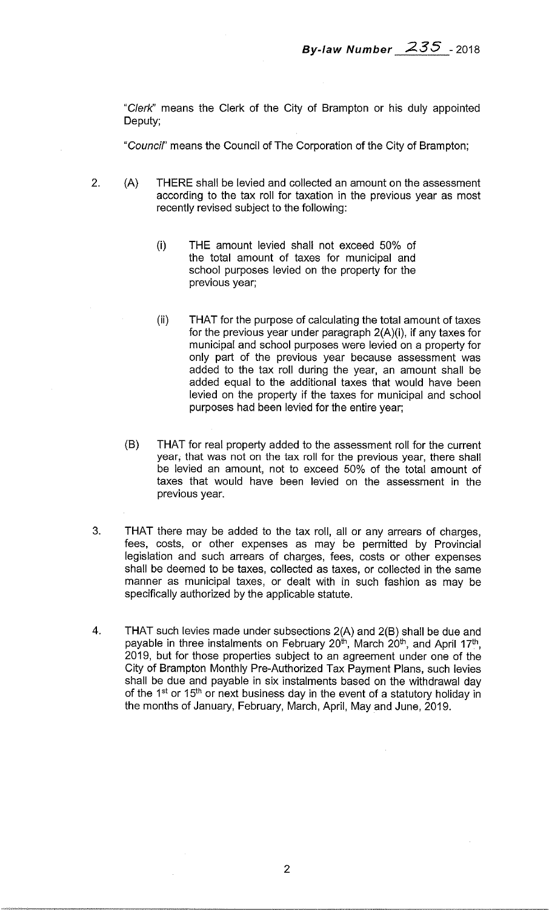"Clerk" means the Clerk of the City of Brampton or his duly appointed Deputy;

"Council" means the Council of The Corporation of the City of Brampton;

- 2. (A) THERE shall be levied and collected an amount on the assessment according to the tax roll for taxation in the previous year as most recently revised subject to the following:
	- (i) THE amount levied shall not exceed 50% of the total amount of taxes for municipal and school purposes levied on the property for the previous year;
	- (ii) THAT for the purpose of calculating the total amount of taxes for the previous year under paragraph 2(A)(i), if any taxes for municipal and school purposes were levied on a property for only part of the previous year because assessment was added to the tax roll during the year, an amount shall be added equal to the additional taxes that would have been levied on the property if the taxes for municipal and school purposes had been levied for the entire year;
	- (B) THAT for real property added to the assessment roll for the current year, that was not on the tax roll for the previous year, there shall be levied an amount, not to exceed 50% of the total amount of taxes that would have been levied on the assessment in the previous year.
- 3. THAT there may be added to the tax roll, all or any arrears of charges, fees, costs, or other expenses as may be permitted by Provincial legislation and such arrears of charges, fees, costs or other expenses shall be deemed to be taxes, collected as taxes, or collected in the same manner as municipal taxes, or dealt with in such fashion as may be specifically authorized by the applicable statute.
- 4. THAT such levies made under subsections 2(A) and 2(B) shall be due and payable in three instalments on February 20<sup>th</sup>, March 20<sup>th</sup>, and April 17<sup>th</sup>, 2019, but for those properties subject to an agreement under one of the City of Brampton Monthly Pre-Authorized Tax Payment Plans, such levies shall be due and payable in six instalments based on the withdrawal day of the 1<sup>st</sup> or 15<sup>th</sup> or next business day in the event of a statutory holiday in the months of January, February, March, April, May and June, 2019.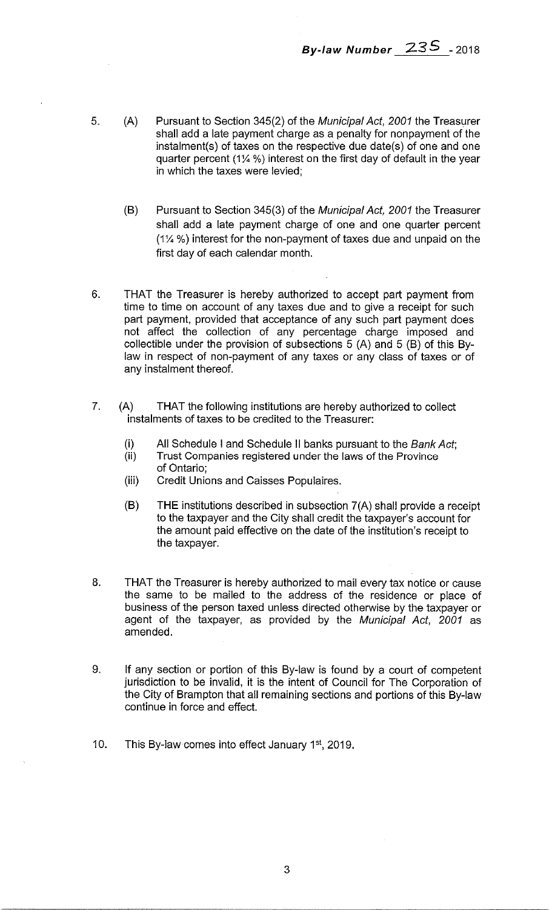By-law Number 235 - 2018

- 5. (A) Pursuant to Section 345(2) of the Municipal Act, 2001 the Treasurer shall add a late payment charge as a penalty for nonpayment of the instalment(s) of taxes on the respective due date(s) of one and one quarter percent (1% %) interest on the first day of default in the year in which the taxes were levied;
	- (B) Pursuant to Section 345(3) of the Municipal Act, 2001 the Treasurer shall add a late payment charge of one and one quarter percent %) interest for the non-payment of taxes due and unpaid on the first day of each calendar month.
- 6. THAT the Treasurer is hereby authorized to accept part payment from time to time on account of any taxes due and to give a receipt for such part payment, provided that acceptance of any such part payment does not affect the collection of any percentage charge imposed and collectible under the provision of subsections  $\overline{5}$  (A) and  $5$  (B) of this Bylaw in respect of non-payment of any taxes or any class of taxes or of any instalment thereof.
- 7. (A) THAT the following institutions are hereby authorized to collect instalments of taxes to be credited to the Treasurer:
	- (i) All Schedule I and Schedule II banks pursuant to the *Bank Act*;<br>(ii) Trust Companies registered under the laws of the Province
		- Trust Companies registered under the laws of the Province of Ontario;
	- (iii) Credit Unions and Caisses Populaires.
	- (B) THE institutions described in subsection 7(A) shall provide a receipt to the taxpayer and the City shall credit the taxpayer's account for the amount paid effective on the date of the institution's receipt to the taxpayer.
- 8. THAT the Treasurer is hereby authorized to mail every tax notice or cause the same to be mailed to the address of the residence or place of business of the person taxed unless directed otherwise by the taxpayer or agent of the taxpayer, as provided by the Municipal Act, 2001 as amended.
- 9. If any section or portion of this By-law is found by a court of competent jurisdiction to be invalid, it is the intent of Council for The Corporation of the City of Brampton that all remaining sections and portions of this By-law continue in force and effect.
- 10. This By-law comes into effect January 1<sup>st</sup>, 2019.